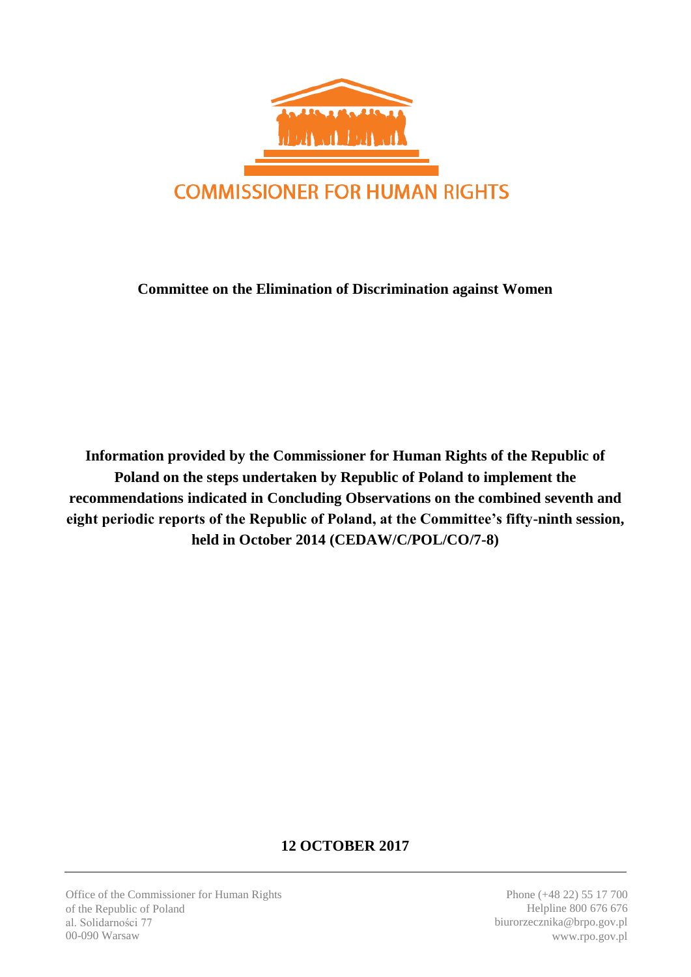

## **Committee on the Elimination of Discrimination against Women**

**Information provided by the Commissioner for Human Rights of the Republic of Poland on the steps undertaken by Republic of Poland to implement the recommendations indicated in Concluding Observations on the combined seventh and eight periodic reports of the Republic of Poland, at the Committee's fifty-ninth session, held in October 2014 (CEDAW/C/POL/CO/7-8)**

# **12 OCTOBER 2017**

Office of the Commissioner for Human Rights of the Republic of Poland al. Solidarności 77 00-090 Warsaw

Phone (+48 22) 55 17 700 Helpline 800 676 676 biurorzecznika@brpo.gov.pl www.rpo.gov.pl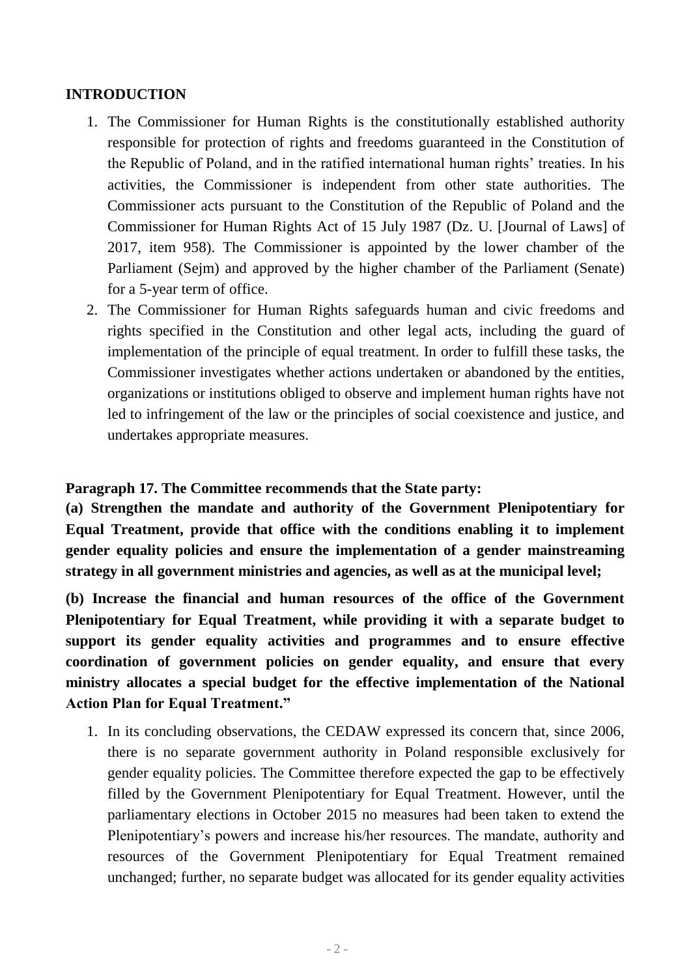### **INTRODUCTION**

- 1. The Commissioner for Human Rights is the constitutionally established authority responsible for protection of rights and freedoms guaranteed in the Constitution of the Republic of Poland, and in the ratified international human rights' treaties. In his activities, the Commissioner is independent from other state authorities. The Commissioner acts pursuant to the Constitution of the Republic of Poland and the Commissioner for Human Rights Act of 15 July 1987 (Dz. U. [Journal of Laws] of 2017, item 958). The Commissioner is appointed by the lower chamber of the Parliament (Sejm) and approved by the higher chamber of the Parliament (Senate) for a 5-year term of office.
- 2. The Commissioner for Human Rights safeguards human and civic freedoms and rights specified in the Constitution and other legal acts, including the guard of implementation of the principle of equal treatment. In order to fulfill these tasks, the Commissioner investigates whether actions undertaken or abandoned by the entities, organizations or institutions obliged to observe and implement human rights have not led to infringement of the law or the principles of social coexistence and justice, and undertakes appropriate measures.

### **Paragraph 17. The Committee recommends that the State party:**

**(a) Strengthen the mandate and authority of the Government Plenipotentiary for Equal Treatment, provide that office with the conditions enabling it to implement gender equality policies and ensure the implementation of a gender mainstreaming strategy in all government ministries and agencies, as well as at the municipal level;**

**(b) Increase the financial and human resources of the office of the Government Plenipotentiary for Equal Treatment, while providing it with a separate budget to support its gender equality activities and programmes and to ensure effective coordination of government policies on gender equality, and ensure that every ministry allocates a special budget for the effective implementation of the National Action Plan for Equal Treatment."**

1. In its concluding observations, the CEDAW expressed its concern that, since 2006, there is no separate government authority in Poland responsible exclusively for gender equality policies. The Committee therefore expected the gap to be effectively filled by the Government Plenipotentiary for Equal Treatment. However, until the parliamentary elections in October 2015 no measures had been taken to extend the Plenipotentiary's powers and increase his/her resources. The mandate, authority and resources of the Government Plenipotentiary for Equal Treatment remained unchanged; further, no separate budget was allocated for its gender equality activities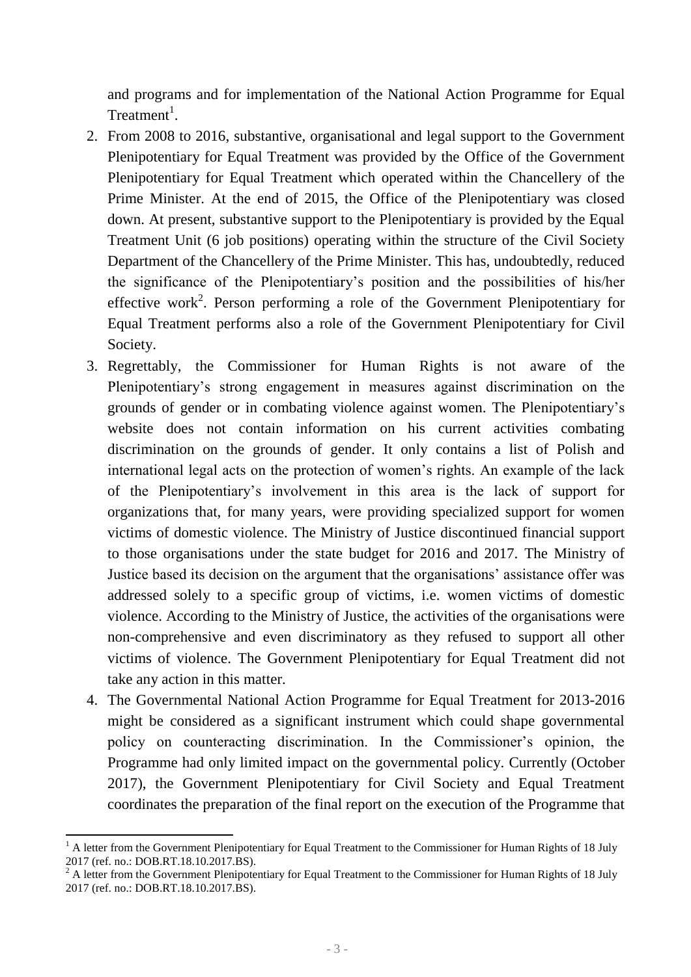and programs and for implementation of the National Action Programme for Equal Treatment<sup>1</sup>.

- 2. From 2008 to 2016, substantive, organisational and legal support to the Government Plenipotentiary for Equal Treatment was provided by the Office of the Government Plenipotentiary for Equal Treatment which operated within the Chancellery of the Prime Minister. At the end of 2015, the Office of the Plenipotentiary was closed down. At present, substantive support to the Plenipotentiary is provided by the Equal Treatment Unit (6 job positions) operating within the structure of the Civil Society Department of the Chancellery of the Prime Minister. This has, undoubtedly, reduced the significance of the Plenipotentiary's position and the possibilities of his/her effective work<sup>2</sup>. Person performing a role of the Government Plenipotentiary for Equal Treatment performs also a role of the Government Plenipotentiary for Civil Society.
- 3. Regrettably, the Commissioner for Human Rights is not aware of the Plenipotentiary's strong engagement in measures against discrimination on the grounds of gender or in combating violence against women. The Plenipotentiary's website does not contain information on his current activities combating discrimination on the grounds of gender. It only contains a list of Polish and international legal acts on the protection of women's rights. An example of the lack of the Plenipotentiary's involvement in this area is the lack of support for organizations that, for many years, were providing specialized support for women victims of domestic violence. The Ministry of Justice discontinued financial support to those organisations under the state budget for 2016 and 2017. The Ministry of Justice based its decision on the argument that the organisations' assistance offer was addressed solely to a specific group of victims, i.e. women victims of domestic violence. According to the Ministry of Justice, the activities of the organisations were non-comprehensive and even discriminatory as they refused to support all other victims of violence. The Government Plenipotentiary for Equal Treatment did not take any action in this matter.
- 4. The Governmental National Action Programme for Equal Treatment for 2013-2016 might be considered as a significant instrument which could shape governmental policy on counteracting discrimination. In the Commissioner's opinion, the Programme had only limited impact on the governmental policy. Currently (October 2017), the Government Plenipotentiary for Civil Society and Equal Treatment coordinates the preparation of the final report on the execution of the Programme that

**<sup>.</sup>** <sup>1</sup> A letter from the Government Plenipotentiary for Equal Treatment to the Commissioner for Human Rights of 18 July 2017 (ref. no.: DOB.RT.18.10.2017.BS).

 $2^2$  A letter from the Government Plenipotentiary for Equal Treatment to the Commissioner for Human Rights of 18 July 2017 (ref. no.: DOB.RT.18.10.2017.BS).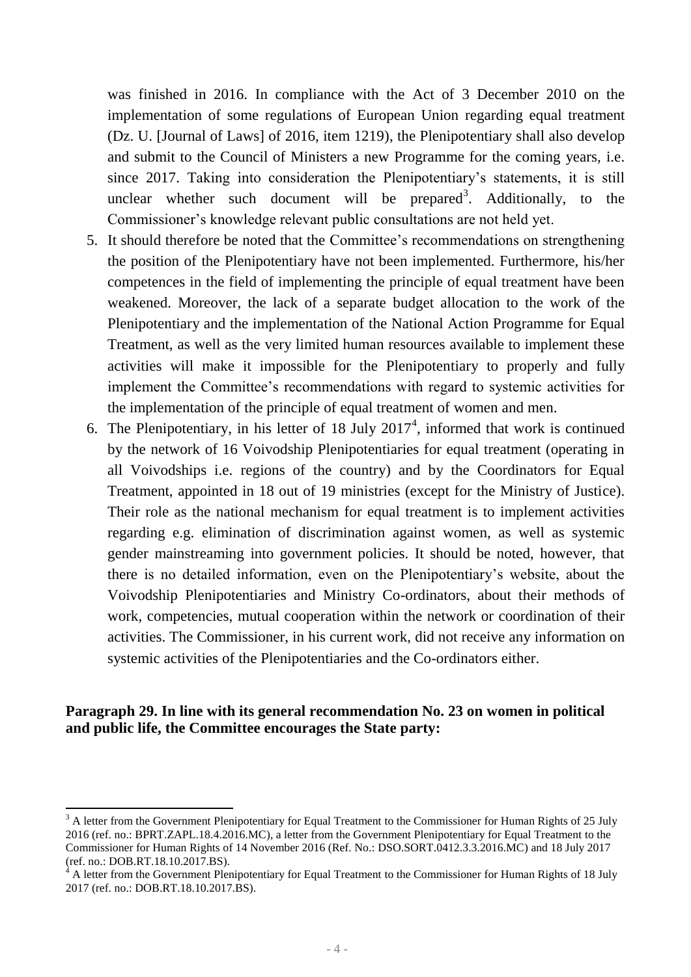was finished in 2016. In compliance with the Act of 3 December 2010 on the implementation of some regulations of European Union regarding equal treatment (Dz. U. [Journal of Laws] of 2016, item 1219), the Plenipotentiary shall also develop and submit to the Council of Ministers a new Programme for the coming years, i.e. since 2017. Taking into consideration the Plenipotentiary's statements, it is still unclear whether such document will be prepared<sup>3</sup>. Additionally, to the Commissioner's knowledge relevant public consultations are not held yet.

- 5. It should therefore be noted that the Committee's recommendations on strengthening the position of the Plenipotentiary have not been implemented. Furthermore, his/her competences in the field of implementing the principle of equal treatment have been weakened. Moreover, the lack of a separate budget allocation to the work of the Plenipotentiary and the implementation of the National Action Programme for Equal Treatment, as well as the very limited human resources available to implement these activities will make it impossible for the Plenipotentiary to properly and fully implement the Committee's recommendations with regard to systemic activities for the implementation of the principle of equal treatment of women and men.
- 6. The Plenipotentiary, in his letter of 18 July  $2017<sup>4</sup>$ , informed that work is continued by the network of 16 Voivodship Plenipotentiaries for equal treatment (operating in all Voivodships i.e. regions of the country) and by the Coordinators for Equal Treatment, appointed in 18 out of 19 ministries (except for the Ministry of Justice). Their role as the national mechanism for equal treatment is to implement activities regarding e.g. elimination of discrimination against women, as well as systemic gender mainstreaming into government policies. It should be noted, however, that there is no detailed information, even on the Plenipotentiary's website, about the Voivodship Plenipotentiaries and Ministry Co-ordinators, about their methods of work, competencies, mutual cooperation within the network or coordination of their activities. The Commissioner, in his current work, did not receive any information on systemic activities of the Plenipotentiaries and the Co-ordinators either.

#### **Paragraph 29. In line with its general recommendation No. 23 on women in political and public life, the Committee encourages the State party:**

1

<sup>&</sup>lt;sup>3</sup> A letter from the Government Plenipotentiary for Equal Treatment to the Commissioner for Human Rights of 25 July 2016 (ref. no.: BPRT.ZAPL.18.4.2016.MC), a letter from the Government Plenipotentiary for Equal Treatment to the Commissioner for Human Rights of 14 November 2016 (Ref. No.: DSO.SORT.0412.3.3.2016.MC) and 18 July 2017 (ref. no.: DOB.RT.18.10.2017.BS).

<sup>4</sup> A letter from the Government Plenipotentiary for Equal Treatment to the Commissioner for Human Rights of 18 July 2017 (ref. no.: DOB.RT.18.10.2017.BS).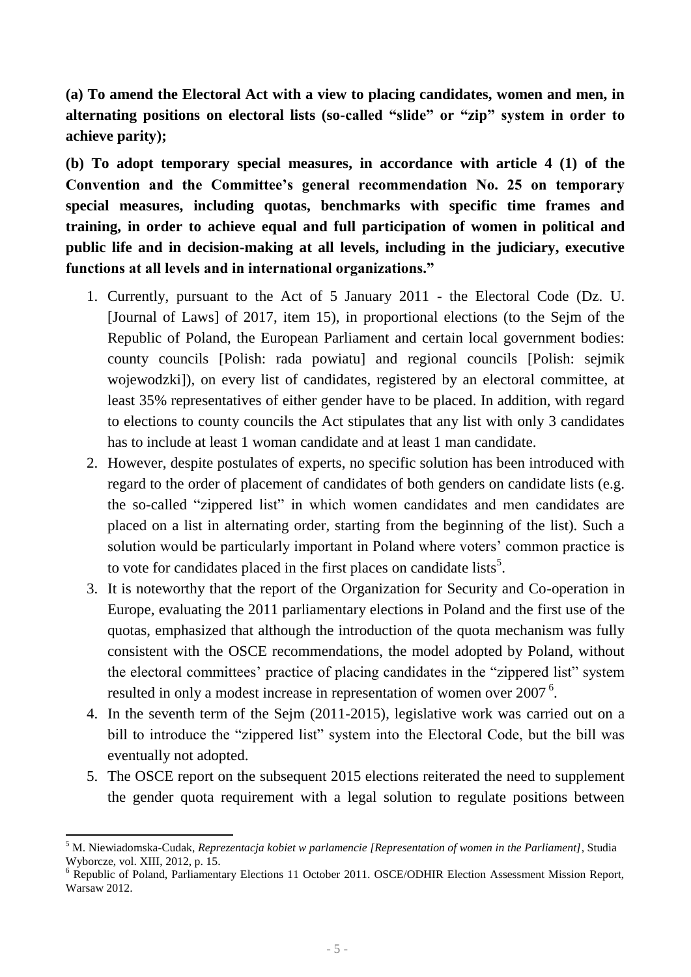**(a) To amend the Electoral Act with a view to placing candidates, women and men, in alternating positions on electoral lists (so-called "slide" or "zip" system in order to achieve parity);**

**(b) To adopt temporary special measures, in accordance with article 4 (1) of the Convention and the Committee's general recommendation No. 25 on temporary special measures, including quotas, benchmarks with specific time frames and training, in order to achieve equal and full participation of women in political and public life and in decision-making at all levels, including in the judiciary, executive functions at all levels and in international organizations."**

- 1. Currently, pursuant to the Act of 5 January 2011 the Electoral Code (Dz. U. [Journal of Laws] of 2017, item 15), in proportional elections (to the Sejm of the Republic of Poland, the European Parliament and certain local government bodies: county councils [Polish: rada powiatu] and regional councils [Polish: sejmik wojewodzki]), on every list of candidates, registered by an electoral committee, at least 35% representatives of either gender have to be placed. In addition, with regard to elections to county councils the Act stipulates that any list with only 3 candidates has to include at least 1 woman candidate and at least 1 man candidate.
- 2. However, despite postulates of experts, no specific solution has been introduced with regard to the order of placement of candidates of both genders on candidate lists (e.g. the so-called "zippered list" in which women candidates and men candidates are placed on a list in alternating order, starting from the beginning of the list). Such a solution would be particularly important in Poland where voters' common practice is to vote for candidates placed in the first places on candidate lists<sup>5</sup>.
- 3. It is noteworthy that the report of the Organization for Security and Co-operation in Europe, evaluating the 2011 parliamentary elections in Poland and the first use of the quotas, emphasized that although the introduction of the quota mechanism was fully consistent with the OSCE recommendations, the model adopted by Poland, without the electoral committees' practice of placing candidates in the "zippered list" system resulted in only a modest increase in representation of women over 2007<sup>6</sup>.
- 4. In the seventh term of the Sejm (2011-2015), legislative work was carried out on a bill to introduce the "zippered list" system into the Electoral Code, but the bill was eventually not adopted.
- 5. The OSCE report on the subsequent 2015 elections reiterated the need to supplement the gender quota requirement with a legal solution to regulate positions between

**<sup>.</sup>** <sup>5</sup> M. Niewiadomska-Cudak, *Reprezentacja kobiet w parlamencie [Representation of women in the Parliament]*, Studia Wyborcze, vol. XIII, 2012, p. 15.

<sup>&</sup>lt;sup>6</sup> Republic of Poland, Parliamentary Elections 11 October 2011. OSCE/ODHIR Election Assessment Mission Report, Warsaw 2012.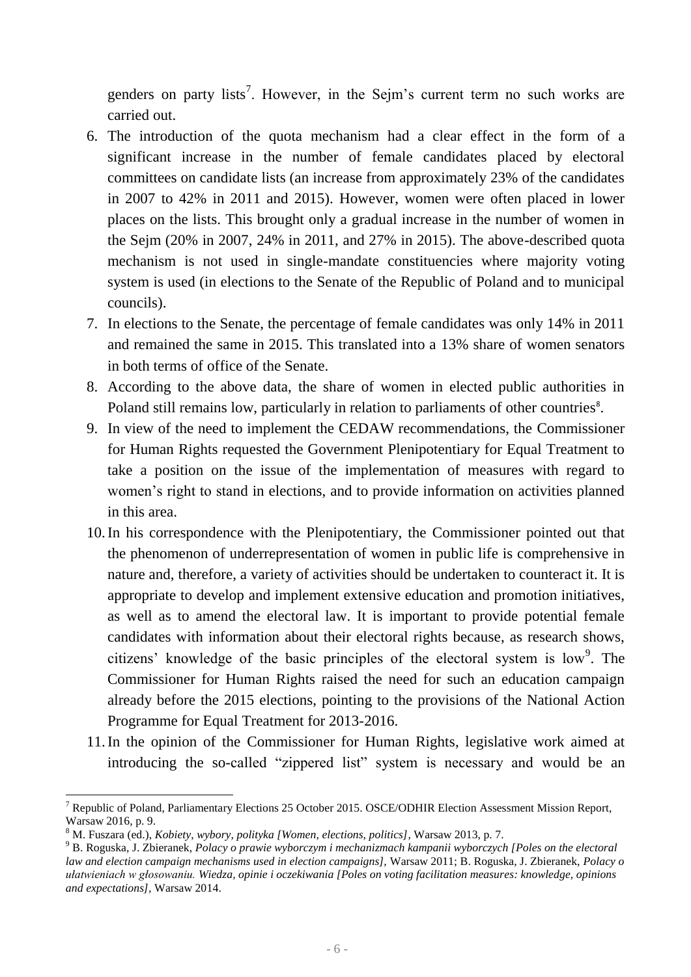genders on party lists<sup>7</sup>. However, in the Sejm's current term no such works are carried out.

- 6. The introduction of the quota mechanism had a clear effect in the form of a significant increase in the number of female candidates placed by electoral committees on candidate lists (an increase from approximately 23% of the candidates in 2007 to 42% in 2011 and 2015). However, women were often placed in lower places on the lists. This brought only a gradual increase in the number of women in the Sejm (20% in 2007, 24% in 2011, and 27% in 2015). The above-described quota mechanism is not used in single-mandate constituencies where majority voting system is used (in elections to the Senate of the Republic of Poland and to municipal councils).
- 7. In elections to the Senate, the percentage of female candidates was only 14% in 2011 and remained the same in 2015. This translated into a 13% share of women senators in both terms of office of the Senate.
- 8. According to the above data, the share of women in elected public authorities in Poland still remains low, particularly in relation to parliaments of other countries<sup>8</sup>.
- 9. In view of the need to implement the CEDAW recommendations, the Commissioner for Human Rights requested the Government Plenipotentiary for Equal Treatment to take a position on the issue of the implementation of measures with regard to women's right to stand in elections, and to provide information on activities planned in this area.
- 10.In his correspondence with the Plenipotentiary, the Commissioner pointed out that the phenomenon of underrepresentation of women in public life is comprehensive in nature and, therefore, a variety of activities should be undertaken to counteract it. It is appropriate to develop and implement extensive education and promotion initiatives, as well as to amend the electoral law. It is important to provide potential female candidates with information about their electoral rights because, as research shows, citizens' knowledge of the basic principles of the electoral system is  $low<sup>9</sup>$ . The Commissioner for Human Rights raised the need for such an education campaign already before the 2015 elections, pointing to the provisions of the National Action Programme for Equal Treatment for 2013-2016.
- 11.In the opinion of the Commissioner for Human Rights, legislative work aimed at introducing the so-called "zippered list" system is necessary and would be an

 $\overline{\phantom{a}}$ 

<sup>7</sup> Republic of Poland, Parliamentary Elections 25 October 2015. OSCE/ODHIR Election Assessment Mission Report, Warsaw 2016, p. 9.

<sup>8</sup> M. Fuszara (ed.), *Kobiety, wybory, polityka [Women, elections, politics]*, Warsaw 2013, p. 7.

<sup>9</sup> B. Roguska, J. Zbieranek, *Polacy o prawie wyborczym i mechanizmach kampanii wyborczych [Poles on the electoral law and election campaign mechanisms used in election campaigns],* Warsaw 2011; B. Roguska, J. Zbieranek, *Polacy o ułatwieniach w głosowaniu. Wiedza, opinie i oczekiwania [Poles on voting facilitation measures: knowledge, opinions and expectations],* Warsaw 2014.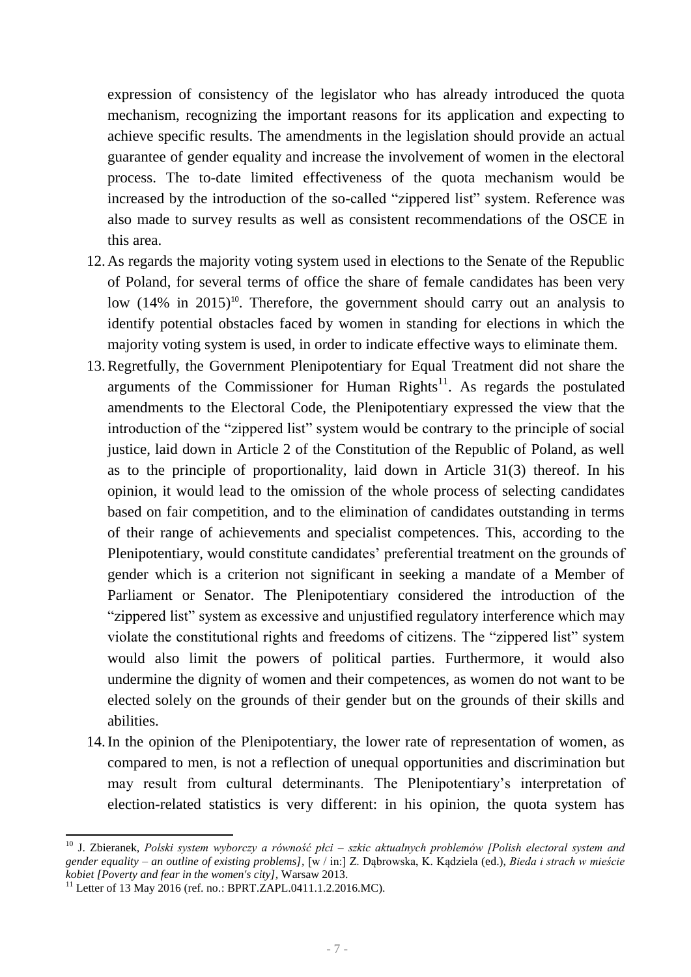expression of consistency of the legislator who has already introduced the quota mechanism, recognizing the important reasons for its application and expecting to achieve specific results. The amendments in the legislation should provide an actual guarantee of gender equality and increase the involvement of women in the electoral process. The to-date limited effectiveness of the quota mechanism would be increased by the introduction of the so-called "zippered list" system. Reference was also made to survey results as well as consistent recommendations of the OSCE in this area.

- 12.As regards the majority voting system used in elections to the Senate of the Republic of Poland, for several terms of office the share of female candidates has been very low  $(14\%$  in  $2015)^{10}$ . Therefore, the government should carry out an analysis to identify potential obstacles faced by women in standing for elections in which the majority voting system is used, in order to indicate effective ways to eliminate them.
- 13.Regretfully, the Government Plenipotentiary for Equal Treatment did not share the arguments of the Commissioner for Human Rights<sup>11</sup>. As regards the postulated amendments to the Electoral Code, the Plenipotentiary expressed the view that the introduction of the "zippered list" system would be contrary to the principle of social justice, laid down in Article 2 of the Constitution of the Republic of Poland, as well as to the principle of proportionality, laid down in Article 31(3) thereof. In his opinion, it would lead to the omission of the whole process of selecting candidates based on fair competition, and to the elimination of candidates outstanding in terms of their range of achievements and specialist competences. This, according to the Plenipotentiary, would constitute candidates' preferential treatment on the grounds of gender which is a criterion not significant in seeking a mandate of a Member of Parliament or Senator. The Plenipotentiary considered the introduction of the "zippered list" system as excessive and unjustified regulatory interference which may violate the constitutional rights and freedoms of citizens. The "zippered list" system would also limit the powers of political parties. Furthermore, it would also undermine the dignity of women and their competences, as women do not want to be elected solely on the grounds of their gender but on the grounds of their skills and abilities.
- 14.In the opinion of the Plenipotentiary, the lower rate of representation of women, as compared to men, is not a reflection of unequal opportunities and discrimination but may result from cultural determinants. The Plenipotentiary's interpretation of election-related statistics is very different: in his opinion, the quota system has

**.** 

<sup>10</sup> J. Zbieranek, *Polski system wyborczy a równość płci – szkic aktualnych problemów [Polish electoral system and gender equality – an outline of existing problems],* [w / in:] Z. Dąbrowska, K. Kądziela (ed.), *Bieda i strach w mieście kobiet [Poverty and fear in the women's city],* Warsaw 2013.

<sup>&</sup>lt;sup>11</sup> Letter of 13 May 2016 (ref. no.: BPRT.ZAPL.0411.1.2.2016.MC).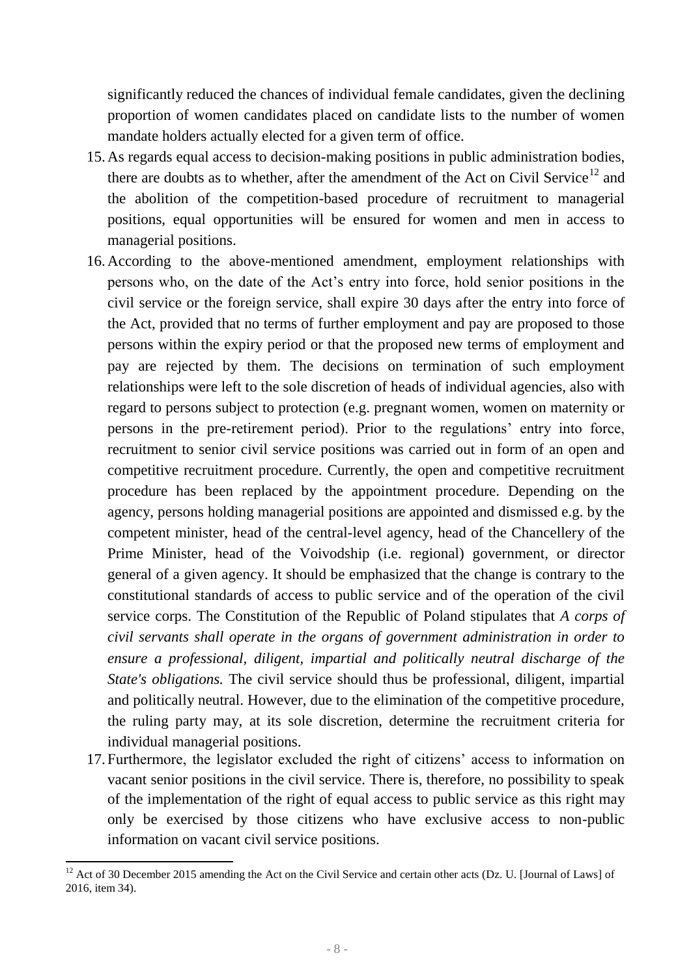significantly reduced the chances of individual female candidates, given the declining proportion of women candidates placed on candidate lists to the number of women mandate holders actually elected for a given term of office.

- 15.As regards equal access to decision-making positions in public administration bodies, there are doubts as to whether, after the amendment of the Act on Civil Service<sup>12</sup> and the abolition of the competition-based procedure of recruitment to managerial positions, equal opportunities will be ensured for women and men in access to managerial positions.
- 16.According to the above-mentioned amendment, employment relationships with persons who, on the date of the Act's entry into force, hold senior positions in the civil service or the foreign service, shall expire 30 days after the entry into force of the Act, provided that no terms of further employment and pay are proposed to those persons within the expiry period or that the proposed new terms of employment and pay are rejected by them. The decisions on termination of such employment relationships were left to the sole discretion of heads of individual agencies, also with regard to persons subject to protection (e.g. pregnant women, women on maternity or persons in the pre-retirement period). Prior to the regulations' entry into force, recruitment to senior civil service positions was carried out in form of an open and competitive recruitment procedure. Currently, the open and competitive recruitment procedure has been replaced by the appointment procedure. Depending on the agency, persons holding managerial positions are appointed and dismissed e.g. by the competent minister, head of the central-level agency, head of the Chancellery of the Prime Minister, head of the Voivodship (i.e. regional) government, or director general of a given agency. It should be emphasized that the change is contrary to the constitutional standards of access to public service and of the operation of the civil service corps. The Constitution of the Republic of Poland stipulates that *A corps of civil servants shall operate in the organs of government administration in order to ensure a professional, diligent, impartial and politically neutral discharge of the State's obligations.* The civil service should thus be professional, diligent, impartial and politically neutral. However, due to the elimination of the competitive procedure, the ruling party may, at its sole discretion, determine the recruitment criteria for individual managerial positions.
- 17.Furthermore, the legislator excluded the right of citizens' access to information on vacant senior positions in the civil service. There is, therefore, no possibility to speak of the implementation of the right of equal access to public service as this right may only be exercised by those citizens who have exclusive access to non-public information on vacant civil service positions.

**.** 

 $12$  Act of 30 December 2015 amending the Act on the Civil Service and certain other acts (Dz. U. [Journal of Laws] of 2016, item 34).